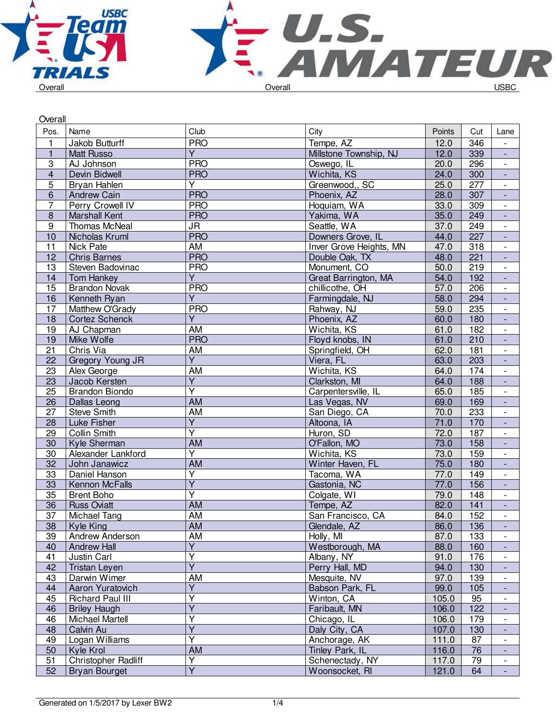



| Pos.<br>Name<br>Club<br>City<br>Points<br>Cut<br>Lane<br><b>PRO</b><br>$\mathbf{1}$<br>Jakob Butturff<br>Tempe, AZ<br>346<br>12.0<br>$\overline{\phantom{0}}$<br>$\overline{1}$<br>Ÿ<br>Millstone Township, NJ<br>12.0<br>339<br><b>Matt Russo</b><br>$\blacksquare$<br><b>PRO</b><br>$\ensuremath{\mathsf{3}}$<br>20.0<br>296<br>AJ Johnson<br>Oswego, IL<br>$\overline{\phantom{a}}$<br>$\overline{4}$<br><b>PRO</b><br>Devin Bidwell<br>Wichita, KS<br>300<br>24.0<br>$\blacksquare$<br>$\overline{5}$<br>$\overline{Y}$<br>277<br>Bryan Hahlen<br>25.0<br>Greenwood,, SC<br>$\overline{\phantom{a}}$<br>6<br><b>PRO</b><br>28.0<br>307<br><b>Andrew Cain</b><br>Phoenix, AZ<br>$\overline{\phantom{a}}$<br>$\overline{7}$<br><b>PRO</b><br>Perry Crowell IV<br>Hoquiam, WA<br>33.0<br>309<br>$\overline{\phantom{a}}$<br><b>PRO</b><br>$\overline{8}$<br><b>Marshall Kent</b><br>Yakima, WA<br>35.0<br>249<br>$\blacksquare$<br>JR<br>Seattle, WA<br>249<br>$\boldsymbol{9}$<br>Thomas McNeal<br>37.0<br>$\blacksquare$<br><b>PRO</b><br>227<br>10<br>Downers Grove, IL<br>44.0<br>Nicholas Kruml<br>$\overline{\phantom{a}}$<br>11<br>Nick Pate<br>AM<br>Inver Grove Heights, MN<br>318<br>47.0<br>$\overline{\phantom{a}}$<br><b>PRO</b><br>12<br>Double Oak, TX<br>48.0<br>221<br><b>Chris Barnes</b><br>$\overline{\phantom{a}}$<br><b>PRO</b><br>219<br>13<br>Steven Badovinac<br>Monument, CO<br>50.0<br>$\blacksquare$<br>Ÿ<br>Tom Hankey<br>Great Barrington, MA<br>54.0<br>192<br>14<br>206<br>15<br><b>Brandon Novak</b><br><b>PRO</b><br>chillicothe, OH<br>57.0<br>$\overline{\phantom{a}}$<br>$\overline{\mathsf{Y}}$<br>16<br>Farmingdale, NJ<br>58.0<br>294<br>Kenneth Ryan<br>$\blacksquare$<br>17<br>Matthew O'Grady<br><b>PRO</b><br>Rahway, NJ<br>235<br>59.0<br>$\overline{\phantom{a}}$<br>$\overline{Y}$<br>18<br><b>Cortez Schenck</b><br>Phoenix, AZ<br>60.0<br>180<br>$\blacksquare$<br>Wichita, KS<br>19<br>AJ Chapman<br>AM<br>61.0<br>182<br>$\blacksquare$<br>210<br><b>PRO</b><br>Floyd knobs, IN<br>19<br>Mike Wolfe<br>61.0<br>÷,<br>Chris Via<br>21<br>AM<br>Springfield, OH<br>181<br>62.0<br>$\overline{\phantom{a}}$<br>$\overline{\mathsf{Y}}$<br>$\overline{22}$<br>$\overline{203}$<br><b>Gregory Young JR</b><br>Viera, FL<br>63.0<br>$\blacksquare$<br>$\overline{23}$<br><b>AM</b><br>Wichita, KS<br>64.0<br>174<br>Alex George<br>$\blacksquare$<br>$\overline{Y}$<br>23<br>Clarkston, MI<br>64.0<br>188<br>Jacob Kersten<br>$\overline{\phantom{a}}$<br>$\overline{\mathsf{Y}}$<br>25<br>185<br><b>Brandon Biondo</b><br>Carpentersville, IL<br>65.0<br>$\overline{\phantom{a}}$<br><b>AM</b><br>26<br>69.0<br>169<br>Dallas Leong<br>Las Vegas, NV<br>$\overline{\phantom{a}}$<br>$\overline{27}$<br>$\overline{AM}$<br>233<br><b>Steve Smith</b><br>San Diego, CA<br>70.0<br>$\blacksquare$<br>$\overline{Y}$<br>71.0<br>28<br>Luke Fisher<br>Altoona, IA<br>170<br>$\blacksquare$<br>$\overline{\mathsf{Y}}$<br><b>Collin Smith</b><br>Huron, SD<br>187<br>29<br>72.0<br>$\overline{\phantom{a}}$<br>30<br><b>AM</b><br>73.0<br>Kyle Sherman<br>O'Fallon, MO<br>158<br>$\overline{\phantom{a}}$<br>$\overline{\mathsf{Y}}$<br>Wichita, KS<br>30<br>Alexander Lankford<br>73.0<br>159<br>$\overline{\phantom{a}}$<br>$\overline{32}$<br><b>AM</b><br>75.0<br>180<br>John Janawicz<br>Winter Haven, FL<br>$\blacksquare$<br>$\overline{\mathsf{Y}}$<br>33<br>149<br>Daniel Hanson<br>Tacoma, WA<br>77.0<br>$\overline{\phantom{0}}$<br>$\overline{\mathsf{Y}}$<br>33<br>156<br>Kennon McFalls<br>Gastonia, NC<br>77.0<br>$\blacksquare$<br>$\overline{\mathsf{Y}}$<br>35<br>148<br><b>Brent Boho</b><br>Colgate, WI<br>79.0<br>$\blacksquare$<br>$\overline{36}$<br>AM<br>82.0<br>141<br><b>Russ Oviatt</b><br>Tempe, AZ<br>$\overline{\phantom{a}}$<br>$\overline{37}$<br><b>AM</b><br>152<br>84.0<br>Michael Tang<br>San Francisco, CA<br>Kyle King<br>AM<br>Glendale, AZ<br>38<br>86.0<br>136<br>$\overline{\phantom{a}}$<br>AM<br>39<br>Andrew Anderson<br>Holly, MI<br>87.0<br>133<br>$\overline{\phantom{0}}$<br>$\overline{Y}$<br>Westborough, MA<br>40<br><b>Andrew Hall</b><br>88.0<br>160<br>$\blacksquare$<br>Ÿ<br>Justin Carl<br>Albany, NY<br>41<br>176<br>91.0<br>$\overline{\phantom{a}}$<br>$\overline{\mathsf{Y}}$<br>42<br>Tristan Leyen<br>Perry Hall, MD<br>94.0<br>130<br>$\blacksquare$<br>43<br>Darwin Wimer<br>AM<br>Mesquite, NV<br>97.0<br>139<br>$\overline{\phantom{a}}$<br>Ÿ<br>44<br>Babson Park, FL<br>Aaron Yuratovich<br>99.0<br>105<br>Y<br>95<br>45<br><b>Richard Paul III</b><br>Winton, CA<br>105.0<br>$\overline{\phantom{a}}$<br>Ÿ<br>122<br><b>Briley Haugh</b><br>Faribault, MN<br>106.0<br>46<br>$\overline{\mathsf{Y}}$<br>46<br>Michael Martell<br>Chicago, IL<br>106.0<br>179<br>$\overline{\phantom{0}}$<br>Ÿ<br>Daly City, CA<br>107.0<br>48<br>Calvin Au<br>130<br>$\overline{\phantom{a}}$<br>Y<br>49<br>Logan Williams<br>Anchorage, AK<br>111.0<br>87<br>$\overline{\phantom{a}}$<br>50<br>Kyle Krol<br>AM<br>Tinley Park, IL<br>116.0<br>76<br>$\overline{\phantom{a}}$<br><b>Christopher Radliff</b><br>Υ<br>51<br>Schenectady, NY<br>117.0<br>79<br>$\overline{\phantom{a}}$ | Overall         |                      |                         |                |       |    |                          |
|-------------------------------------------------------------------------------------------------------------------------------------------------------------------------------------------------------------------------------------------------------------------------------------------------------------------------------------------------------------------------------------------------------------------------------------------------------------------------------------------------------------------------------------------------------------------------------------------------------------------------------------------------------------------------------------------------------------------------------------------------------------------------------------------------------------------------------------------------------------------------------------------------------------------------------------------------------------------------------------------------------------------------------------------------------------------------------------------------------------------------------------------------------------------------------------------------------------------------------------------------------------------------------------------------------------------------------------------------------------------------------------------------------------------------------------------------------------------------------------------------------------------------------------------------------------------------------------------------------------------------------------------------------------------------------------------------------------------------------------------------------------------------------------------------------------------------------------------------------------------------------------------------------------------------------------------------------------------------------------------------------------------------------------------------------------------------------------------------------------------------------------------------------------------------------------------------------------------------------------------------------------------------------------------------------------------------------------------------------------------------------------------------------------------------------------------------------------------------------------------------------------------------------------------------------------------------------------------------------------------------------------------------------------------------------------------------------------------------------------------------------------------------------------------------------------------------------------------------------------------------------------------------------------------------------------------------------------------------------------------------------------------------------------------------------------------------------------------------------------------------------------------------------------------------------------------------------------------------------------------------------------------------------------------------------------------------------------------------------------------------------------------------------------------------------------------------------------------------------------------------------------------------------------------------------------------------------------------------------------------------------------------------------------------------------------------------------------------------------------------------------------------------------------------------------------------------------------------------------------------------------------------------------------------------------------------------------------------------------------------------------------------------------------------------------------------------------------------------------------------------------------------------------------------------------------------------------------------------------------------------------------------------------------------------------------------------------------------------------------------------------------------------------------------------------------------------------------------------------------------------------------------------------------------------------------------------------------------------------------------------------------------------------------------------------------------------------------------------------------------------------------------------------------------------------------------------------------------------------------------------------------------------------------------------------------------------------------------------------------------------------------------------------------------------------------------------------------------------------------------------------------------------------------------------------------|-----------------|----------------------|-------------------------|----------------|-------|----|--------------------------|
|                                                                                                                                                                                                                                                                                                                                                                                                                                                                                                                                                                                                                                                                                                                                                                                                                                                                                                                                                                                                                                                                                                                                                                                                                                                                                                                                                                                                                                                                                                                                                                                                                                                                                                                                                                                                                                                                                                                                                                                                                                                                                                                                                                                                                                                                                                                                                                                                                                                                                                                                                                                                                                                                                                                                                                                                                                                                                                                                                                                                                                                                                                                                                                                                                                                                                                                                                                                                                                                                                                                                                                                                                                                                                                                                                                                                                                                                                                                                                                                                                                                                                                                                                                                                                                                                                                                                                                                                                                                                                                                                                                                                                                                                                                                                                                                                                                                                                                                                                                                                                                                                                                                                                                                     |                 |                      |                         |                |       |    |                          |
|                                                                                                                                                                                                                                                                                                                                                                                                                                                                                                                                                                                                                                                                                                                                                                                                                                                                                                                                                                                                                                                                                                                                                                                                                                                                                                                                                                                                                                                                                                                                                                                                                                                                                                                                                                                                                                                                                                                                                                                                                                                                                                                                                                                                                                                                                                                                                                                                                                                                                                                                                                                                                                                                                                                                                                                                                                                                                                                                                                                                                                                                                                                                                                                                                                                                                                                                                                                                                                                                                                                                                                                                                                                                                                                                                                                                                                                                                                                                                                                                                                                                                                                                                                                                                                                                                                                                                                                                                                                                                                                                                                                                                                                                                                                                                                                                                                                                                                                                                                                                                                                                                                                                                                                     |                 |                      |                         |                |       |    |                          |
|                                                                                                                                                                                                                                                                                                                                                                                                                                                                                                                                                                                                                                                                                                                                                                                                                                                                                                                                                                                                                                                                                                                                                                                                                                                                                                                                                                                                                                                                                                                                                                                                                                                                                                                                                                                                                                                                                                                                                                                                                                                                                                                                                                                                                                                                                                                                                                                                                                                                                                                                                                                                                                                                                                                                                                                                                                                                                                                                                                                                                                                                                                                                                                                                                                                                                                                                                                                                                                                                                                                                                                                                                                                                                                                                                                                                                                                                                                                                                                                                                                                                                                                                                                                                                                                                                                                                                                                                                                                                                                                                                                                                                                                                                                                                                                                                                                                                                                                                                                                                                                                                                                                                                                                     |                 |                      |                         |                |       |    |                          |
|                                                                                                                                                                                                                                                                                                                                                                                                                                                                                                                                                                                                                                                                                                                                                                                                                                                                                                                                                                                                                                                                                                                                                                                                                                                                                                                                                                                                                                                                                                                                                                                                                                                                                                                                                                                                                                                                                                                                                                                                                                                                                                                                                                                                                                                                                                                                                                                                                                                                                                                                                                                                                                                                                                                                                                                                                                                                                                                                                                                                                                                                                                                                                                                                                                                                                                                                                                                                                                                                                                                                                                                                                                                                                                                                                                                                                                                                                                                                                                                                                                                                                                                                                                                                                                                                                                                                                                                                                                                                                                                                                                                                                                                                                                                                                                                                                                                                                                                                                                                                                                                                                                                                                                                     |                 |                      |                         |                |       |    |                          |
|                                                                                                                                                                                                                                                                                                                                                                                                                                                                                                                                                                                                                                                                                                                                                                                                                                                                                                                                                                                                                                                                                                                                                                                                                                                                                                                                                                                                                                                                                                                                                                                                                                                                                                                                                                                                                                                                                                                                                                                                                                                                                                                                                                                                                                                                                                                                                                                                                                                                                                                                                                                                                                                                                                                                                                                                                                                                                                                                                                                                                                                                                                                                                                                                                                                                                                                                                                                                                                                                                                                                                                                                                                                                                                                                                                                                                                                                                                                                                                                                                                                                                                                                                                                                                                                                                                                                                                                                                                                                                                                                                                                                                                                                                                                                                                                                                                                                                                                                                                                                                                                                                                                                                                                     |                 |                      |                         |                |       |    |                          |
|                                                                                                                                                                                                                                                                                                                                                                                                                                                                                                                                                                                                                                                                                                                                                                                                                                                                                                                                                                                                                                                                                                                                                                                                                                                                                                                                                                                                                                                                                                                                                                                                                                                                                                                                                                                                                                                                                                                                                                                                                                                                                                                                                                                                                                                                                                                                                                                                                                                                                                                                                                                                                                                                                                                                                                                                                                                                                                                                                                                                                                                                                                                                                                                                                                                                                                                                                                                                                                                                                                                                                                                                                                                                                                                                                                                                                                                                                                                                                                                                                                                                                                                                                                                                                                                                                                                                                                                                                                                                                                                                                                                                                                                                                                                                                                                                                                                                                                                                                                                                                                                                                                                                                                                     |                 |                      |                         |                |       |    |                          |
|                                                                                                                                                                                                                                                                                                                                                                                                                                                                                                                                                                                                                                                                                                                                                                                                                                                                                                                                                                                                                                                                                                                                                                                                                                                                                                                                                                                                                                                                                                                                                                                                                                                                                                                                                                                                                                                                                                                                                                                                                                                                                                                                                                                                                                                                                                                                                                                                                                                                                                                                                                                                                                                                                                                                                                                                                                                                                                                                                                                                                                                                                                                                                                                                                                                                                                                                                                                                                                                                                                                                                                                                                                                                                                                                                                                                                                                                                                                                                                                                                                                                                                                                                                                                                                                                                                                                                                                                                                                                                                                                                                                                                                                                                                                                                                                                                                                                                                                                                                                                                                                                                                                                                                                     |                 |                      |                         |                |       |    |                          |
|                                                                                                                                                                                                                                                                                                                                                                                                                                                                                                                                                                                                                                                                                                                                                                                                                                                                                                                                                                                                                                                                                                                                                                                                                                                                                                                                                                                                                                                                                                                                                                                                                                                                                                                                                                                                                                                                                                                                                                                                                                                                                                                                                                                                                                                                                                                                                                                                                                                                                                                                                                                                                                                                                                                                                                                                                                                                                                                                                                                                                                                                                                                                                                                                                                                                                                                                                                                                                                                                                                                                                                                                                                                                                                                                                                                                                                                                                                                                                                                                                                                                                                                                                                                                                                                                                                                                                                                                                                                                                                                                                                                                                                                                                                                                                                                                                                                                                                                                                                                                                                                                                                                                                                                     |                 |                      |                         |                |       |    |                          |
|                                                                                                                                                                                                                                                                                                                                                                                                                                                                                                                                                                                                                                                                                                                                                                                                                                                                                                                                                                                                                                                                                                                                                                                                                                                                                                                                                                                                                                                                                                                                                                                                                                                                                                                                                                                                                                                                                                                                                                                                                                                                                                                                                                                                                                                                                                                                                                                                                                                                                                                                                                                                                                                                                                                                                                                                                                                                                                                                                                                                                                                                                                                                                                                                                                                                                                                                                                                                                                                                                                                                                                                                                                                                                                                                                                                                                                                                                                                                                                                                                                                                                                                                                                                                                                                                                                                                                                                                                                                                                                                                                                                                                                                                                                                                                                                                                                                                                                                                                                                                                                                                                                                                                                                     |                 |                      |                         |                |       |    |                          |
|                                                                                                                                                                                                                                                                                                                                                                                                                                                                                                                                                                                                                                                                                                                                                                                                                                                                                                                                                                                                                                                                                                                                                                                                                                                                                                                                                                                                                                                                                                                                                                                                                                                                                                                                                                                                                                                                                                                                                                                                                                                                                                                                                                                                                                                                                                                                                                                                                                                                                                                                                                                                                                                                                                                                                                                                                                                                                                                                                                                                                                                                                                                                                                                                                                                                                                                                                                                                                                                                                                                                                                                                                                                                                                                                                                                                                                                                                                                                                                                                                                                                                                                                                                                                                                                                                                                                                                                                                                                                                                                                                                                                                                                                                                                                                                                                                                                                                                                                                                                                                                                                                                                                                                                     |                 |                      |                         |                |       |    |                          |
|                                                                                                                                                                                                                                                                                                                                                                                                                                                                                                                                                                                                                                                                                                                                                                                                                                                                                                                                                                                                                                                                                                                                                                                                                                                                                                                                                                                                                                                                                                                                                                                                                                                                                                                                                                                                                                                                                                                                                                                                                                                                                                                                                                                                                                                                                                                                                                                                                                                                                                                                                                                                                                                                                                                                                                                                                                                                                                                                                                                                                                                                                                                                                                                                                                                                                                                                                                                                                                                                                                                                                                                                                                                                                                                                                                                                                                                                                                                                                                                                                                                                                                                                                                                                                                                                                                                                                                                                                                                                                                                                                                                                                                                                                                                                                                                                                                                                                                                                                                                                                                                                                                                                                                                     |                 |                      |                         |                |       |    |                          |
|                                                                                                                                                                                                                                                                                                                                                                                                                                                                                                                                                                                                                                                                                                                                                                                                                                                                                                                                                                                                                                                                                                                                                                                                                                                                                                                                                                                                                                                                                                                                                                                                                                                                                                                                                                                                                                                                                                                                                                                                                                                                                                                                                                                                                                                                                                                                                                                                                                                                                                                                                                                                                                                                                                                                                                                                                                                                                                                                                                                                                                                                                                                                                                                                                                                                                                                                                                                                                                                                                                                                                                                                                                                                                                                                                                                                                                                                                                                                                                                                                                                                                                                                                                                                                                                                                                                                                                                                                                                                                                                                                                                                                                                                                                                                                                                                                                                                                                                                                                                                                                                                                                                                                                                     |                 |                      |                         |                |       |    |                          |
|                                                                                                                                                                                                                                                                                                                                                                                                                                                                                                                                                                                                                                                                                                                                                                                                                                                                                                                                                                                                                                                                                                                                                                                                                                                                                                                                                                                                                                                                                                                                                                                                                                                                                                                                                                                                                                                                                                                                                                                                                                                                                                                                                                                                                                                                                                                                                                                                                                                                                                                                                                                                                                                                                                                                                                                                                                                                                                                                                                                                                                                                                                                                                                                                                                                                                                                                                                                                                                                                                                                                                                                                                                                                                                                                                                                                                                                                                                                                                                                                                                                                                                                                                                                                                                                                                                                                                                                                                                                                                                                                                                                                                                                                                                                                                                                                                                                                                                                                                                                                                                                                                                                                                                                     |                 |                      |                         |                |       |    |                          |
|                                                                                                                                                                                                                                                                                                                                                                                                                                                                                                                                                                                                                                                                                                                                                                                                                                                                                                                                                                                                                                                                                                                                                                                                                                                                                                                                                                                                                                                                                                                                                                                                                                                                                                                                                                                                                                                                                                                                                                                                                                                                                                                                                                                                                                                                                                                                                                                                                                                                                                                                                                                                                                                                                                                                                                                                                                                                                                                                                                                                                                                                                                                                                                                                                                                                                                                                                                                                                                                                                                                                                                                                                                                                                                                                                                                                                                                                                                                                                                                                                                                                                                                                                                                                                                                                                                                                                                                                                                                                                                                                                                                                                                                                                                                                                                                                                                                                                                                                                                                                                                                                                                                                                                                     |                 |                      |                         |                |       |    |                          |
|                                                                                                                                                                                                                                                                                                                                                                                                                                                                                                                                                                                                                                                                                                                                                                                                                                                                                                                                                                                                                                                                                                                                                                                                                                                                                                                                                                                                                                                                                                                                                                                                                                                                                                                                                                                                                                                                                                                                                                                                                                                                                                                                                                                                                                                                                                                                                                                                                                                                                                                                                                                                                                                                                                                                                                                                                                                                                                                                                                                                                                                                                                                                                                                                                                                                                                                                                                                                                                                                                                                                                                                                                                                                                                                                                                                                                                                                                                                                                                                                                                                                                                                                                                                                                                                                                                                                                                                                                                                                                                                                                                                                                                                                                                                                                                                                                                                                                                                                                                                                                                                                                                                                                                                     |                 |                      |                         |                |       |    |                          |
|                                                                                                                                                                                                                                                                                                                                                                                                                                                                                                                                                                                                                                                                                                                                                                                                                                                                                                                                                                                                                                                                                                                                                                                                                                                                                                                                                                                                                                                                                                                                                                                                                                                                                                                                                                                                                                                                                                                                                                                                                                                                                                                                                                                                                                                                                                                                                                                                                                                                                                                                                                                                                                                                                                                                                                                                                                                                                                                                                                                                                                                                                                                                                                                                                                                                                                                                                                                                                                                                                                                                                                                                                                                                                                                                                                                                                                                                                                                                                                                                                                                                                                                                                                                                                                                                                                                                                                                                                                                                                                                                                                                                                                                                                                                                                                                                                                                                                                                                                                                                                                                                                                                                                                                     |                 |                      |                         |                |       |    |                          |
|                                                                                                                                                                                                                                                                                                                                                                                                                                                                                                                                                                                                                                                                                                                                                                                                                                                                                                                                                                                                                                                                                                                                                                                                                                                                                                                                                                                                                                                                                                                                                                                                                                                                                                                                                                                                                                                                                                                                                                                                                                                                                                                                                                                                                                                                                                                                                                                                                                                                                                                                                                                                                                                                                                                                                                                                                                                                                                                                                                                                                                                                                                                                                                                                                                                                                                                                                                                                                                                                                                                                                                                                                                                                                                                                                                                                                                                                                                                                                                                                                                                                                                                                                                                                                                                                                                                                                                                                                                                                                                                                                                                                                                                                                                                                                                                                                                                                                                                                                                                                                                                                                                                                                                                     |                 |                      |                         |                |       |    |                          |
|                                                                                                                                                                                                                                                                                                                                                                                                                                                                                                                                                                                                                                                                                                                                                                                                                                                                                                                                                                                                                                                                                                                                                                                                                                                                                                                                                                                                                                                                                                                                                                                                                                                                                                                                                                                                                                                                                                                                                                                                                                                                                                                                                                                                                                                                                                                                                                                                                                                                                                                                                                                                                                                                                                                                                                                                                                                                                                                                                                                                                                                                                                                                                                                                                                                                                                                                                                                                                                                                                                                                                                                                                                                                                                                                                                                                                                                                                                                                                                                                                                                                                                                                                                                                                                                                                                                                                                                                                                                                                                                                                                                                                                                                                                                                                                                                                                                                                                                                                                                                                                                                                                                                                                                     |                 |                      |                         |                |       |    |                          |
|                                                                                                                                                                                                                                                                                                                                                                                                                                                                                                                                                                                                                                                                                                                                                                                                                                                                                                                                                                                                                                                                                                                                                                                                                                                                                                                                                                                                                                                                                                                                                                                                                                                                                                                                                                                                                                                                                                                                                                                                                                                                                                                                                                                                                                                                                                                                                                                                                                                                                                                                                                                                                                                                                                                                                                                                                                                                                                                                                                                                                                                                                                                                                                                                                                                                                                                                                                                                                                                                                                                                                                                                                                                                                                                                                                                                                                                                                                                                                                                                                                                                                                                                                                                                                                                                                                                                                                                                                                                                                                                                                                                                                                                                                                                                                                                                                                                                                                                                                                                                                                                                                                                                                                                     |                 |                      |                         |                |       |    |                          |
|                                                                                                                                                                                                                                                                                                                                                                                                                                                                                                                                                                                                                                                                                                                                                                                                                                                                                                                                                                                                                                                                                                                                                                                                                                                                                                                                                                                                                                                                                                                                                                                                                                                                                                                                                                                                                                                                                                                                                                                                                                                                                                                                                                                                                                                                                                                                                                                                                                                                                                                                                                                                                                                                                                                                                                                                                                                                                                                                                                                                                                                                                                                                                                                                                                                                                                                                                                                                                                                                                                                                                                                                                                                                                                                                                                                                                                                                                                                                                                                                                                                                                                                                                                                                                                                                                                                                                                                                                                                                                                                                                                                                                                                                                                                                                                                                                                                                                                                                                                                                                                                                                                                                                                                     |                 |                      |                         |                |       |    |                          |
|                                                                                                                                                                                                                                                                                                                                                                                                                                                                                                                                                                                                                                                                                                                                                                                                                                                                                                                                                                                                                                                                                                                                                                                                                                                                                                                                                                                                                                                                                                                                                                                                                                                                                                                                                                                                                                                                                                                                                                                                                                                                                                                                                                                                                                                                                                                                                                                                                                                                                                                                                                                                                                                                                                                                                                                                                                                                                                                                                                                                                                                                                                                                                                                                                                                                                                                                                                                                                                                                                                                                                                                                                                                                                                                                                                                                                                                                                                                                                                                                                                                                                                                                                                                                                                                                                                                                                                                                                                                                                                                                                                                                                                                                                                                                                                                                                                                                                                                                                                                                                                                                                                                                                                                     |                 |                      |                         |                |       |    |                          |
|                                                                                                                                                                                                                                                                                                                                                                                                                                                                                                                                                                                                                                                                                                                                                                                                                                                                                                                                                                                                                                                                                                                                                                                                                                                                                                                                                                                                                                                                                                                                                                                                                                                                                                                                                                                                                                                                                                                                                                                                                                                                                                                                                                                                                                                                                                                                                                                                                                                                                                                                                                                                                                                                                                                                                                                                                                                                                                                                                                                                                                                                                                                                                                                                                                                                                                                                                                                                                                                                                                                                                                                                                                                                                                                                                                                                                                                                                                                                                                                                                                                                                                                                                                                                                                                                                                                                                                                                                                                                                                                                                                                                                                                                                                                                                                                                                                                                                                                                                                                                                                                                                                                                                                                     |                 |                      |                         |                |       |    |                          |
|                                                                                                                                                                                                                                                                                                                                                                                                                                                                                                                                                                                                                                                                                                                                                                                                                                                                                                                                                                                                                                                                                                                                                                                                                                                                                                                                                                                                                                                                                                                                                                                                                                                                                                                                                                                                                                                                                                                                                                                                                                                                                                                                                                                                                                                                                                                                                                                                                                                                                                                                                                                                                                                                                                                                                                                                                                                                                                                                                                                                                                                                                                                                                                                                                                                                                                                                                                                                                                                                                                                                                                                                                                                                                                                                                                                                                                                                                                                                                                                                                                                                                                                                                                                                                                                                                                                                                                                                                                                                                                                                                                                                                                                                                                                                                                                                                                                                                                                                                                                                                                                                                                                                                                                     |                 |                      |                         |                |       |    |                          |
|                                                                                                                                                                                                                                                                                                                                                                                                                                                                                                                                                                                                                                                                                                                                                                                                                                                                                                                                                                                                                                                                                                                                                                                                                                                                                                                                                                                                                                                                                                                                                                                                                                                                                                                                                                                                                                                                                                                                                                                                                                                                                                                                                                                                                                                                                                                                                                                                                                                                                                                                                                                                                                                                                                                                                                                                                                                                                                                                                                                                                                                                                                                                                                                                                                                                                                                                                                                                                                                                                                                                                                                                                                                                                                                                                                                                                                                                                                                                                                                                                                                                                                                                                                                                                                                                                                                                                                                                                                                                                                                                                                                                                                                                                                                                                                                                                                                                                                                                                                                                                                                                                                                                                                                     |                 |                      |                         |                |       |    |                          |
|                                                                                                                                                                                                                                                                                                                                                                                                                                                                                                                                                                                                                                                                                                                                                                                                                                                                                                                                                                                                                                                                                                                                                                                                                                                                                                                                                                                                                                                                                                                                                                                                                                                                                                                                                                                                                                                                                                                                                                                                                                                                                                                                                                                                                                                                                                                                                                                                                                                                                                                                                                                                                                                                                                                                                                                                                                                                                                                                                                                                                                                                                                                                                                                                                                                                                                                                                                                                                                                                                                                                                                                                                                                                                                                                                                                                                                                                                                                                                                                                                                                                                                                                                                                                                                                                                                                                                                                                                                                                                                                                                                                                                                                                                                                                                                                                                                                                                                                                                                                                                                                                                                                                                                                     |                 |                      |                         |                |       |    |                          |
|                                                                                                                                                                                                                                                                                                                                                                                                                                                                                                                                                                                                                                                                                                                                                                                                                                                                                                                                                                                                                                                                                                                                                                                                                                                                                                                                                                                                                                                                                                                                                                                                                                                                                                                                                                                                                                                                                                                                                                                                                                                                                                                                                                                                                                                                                                                                                                                                                                                                                                                                                                                                                                                                                                                                                                                                                                                                                                                                                                                                                                                                                                                                                                                                                                                                                                                                                                                                                                                                                                                                                                                                                                                                                                                                                                                                                                                                                                                                                                                                                                                                                                                                                                                                                                                                                                                                                                                                                                                                                                                                                                                                                                                                                                                                                                                                                                                                                                                                                                                                                                                                                                                                                                                     |                 |                      |                         |                |       |    |                          |
|                                                                                                                                                                                                                                                                                                                                                                                                                                                                                                                                                                                                                                                                                                                                                                                                                                                                                                                                                                                                                                                                                                                                                                                                                                                                                                                                                                                                                                                                                                                                                                                                                                                                                                                                                                                                                                                                                                                                                                                                                                                                                                                                                                                                                                                                                                                                                                                                                                                                                                                                                                                                                                                                                                                                                                                                                                                                                                                                                                                                                                                                                                                                                                                                                                                                                                                                                                                                                                                                                                                                                                                                                                                                                                                                                                                                                                                                                                                                                                                                                                                                                                                                                                                                                                                                                                                                                                                                                                                                                                                                                                                                                                                                                                                                                                                                                                                                                                                                                                                                                                                                                                                                                                                     |                 |                      |                         |                |       |    |                          |
|                                                                                                                                                                                                                                                                                                                                                                                                                                                                                                                                                                                                                                                                                                                                                                                                                                                                                                                                                                                                                                                                                                                                                                                                                                                                                                                                                                                                                                                                                                                                                                                                                                                                                                                                                                                                                                                                                                                                                                                                                                                                                                                                                                                                                                                                                                                                                                                                                                                                                                                                                                                                                                                                                                                                                                                                                                                                                                                                                                                                                                                                                                                                                                                                                                                                                                                                                                                                                                                                                                                                                                                                                                                                                                                                                                                                                                                                                                                                                                                                                                                                                                                                                                                                                                                                                                                                                                                                                                                                                                                                                                                                                                                                                                                                                                                                                                                                                                                                                                                                                                                                                                                                                                                     |                 |                      |                         |                |       |    |                          |
|                                                                                                                                                                                                                                                                                                                                                                                                                                                                                                                                                                                                                                                                                                                                                                                                                                                                                                                                                                                                                                                                                                                                                                                                                                                                                                                                                                                                                                                                                                                                                                                                                                                                                                                                                                                                                                                                                                                                                                                                                                                                                                                                                                                                                                                                                                                                                                                                                                                                                                                                                                                                                                                                                                                                                                                                                                                                                                                                                                                                                                                                                                                                                                                                                                                                                                                                                                                                                                                                                                                                                                                                                                                                                                                                                                                                                                                                                                                                                                                                                                                                                                                                                                                                                                                                                                                                                                                                                                                                                                                                                                                                                                                                                                                                                                                                                                                                                                                                                                                                                                                                                                                                                                                     |                 |                      |                         |                |       |    |                          |
|                                                                                                                                                                                                                                                                                                                                                                                                                                                                                                                                                                                                                                                                                                                                                                                                                                                                                                                                                                                                                                                                                                                                                                                                                                                                                                                                                                                                                                                                                                                                                                                                                                                                                                                                                                                                                                                                                                                                                                                                                                                                                                                                                                                                                                                                                                                                                                                                                                                                                                                                                                                                                                                                                                                                                                                                                                                                                                                                                                                                                                                                                                                                                                                                                                                                                                                                                                                                                                                                                                                                                                                                                                                                                                                                                                                                                                                                                                                                                                                                                                                                                                                                                                                                                                                                                                                                                                                                                                                                                                                                                                                                                                                                                                                                                                                                                                                                                                                                                                                                                                                                                                                                                                                     |                 |                      |                         |                |       |    |                          |
|                                                                                                                                                                                                                                                                                                                                                                                                                                                                                                                                                                                                                                                                                                                                                                                                                                                                                                                                                                                                                                                                                                                                                                                                                                                                                                                                                                                                                                                                                                                                                                                                                                                                                                                                                                                                                                                                                                                                                                                                                                                                                                                                                                                                                                                                                                                                                                                                                                                                                                                                                                                                                                                                                                                                                                                                                                                                                                                                                                                                                                                                                                                                                                                                                                                                                                                                                                                                                                                                                                                                                                                                                                                                                                                                                                                                                                                                                                                                                                                                                                                                                                                                                                                                                                                                                                                                                                                                                                                                                                                                                                                                                                                                                                                                                                                                                                                                                                                                                                                                                                                                                                                                                                                     |                 |                      |                         |                |       |    |                          |
|                                                                                                                                                                                                                                                                                                                                                                                                                                                                                                                                                                                                                                                                                                                                                                                                                                                                                                                                                                                                                                                                                                                                                                                                                                                                                                                                                                                                                                                                                                                                                                                                                                                                                                                                                                                                                                                                                                                                                                                                                                                                                                                                                                                                                                                                                                                                                                                                                                                                                                                                                                                                                                                                                                                                                                                                                                                                                                                                                                                                                                                                                                                                                                                                                                                                                                                                                                                                                                                                                                                                                                                                                                                                                                                                                                                                                                                                                                                                                                                                                                                                                                                                                                                                                                                                                                                                                                                                                                                                                                                                                                                                                                                                                                                                                                                                                                                                                                                                                                                                                                                                                                                                                                                     |                 |                      |                         |                |       |    |                          |
|                                                                                                                                                                                                                                                                                                                                                                                                                                                                                                                                                                                                                                                                                                                                                                                                                                                                                                                                                                                                                                                                                                                                                                                                                                                                                                                                                                                                                                                                                                                                                                                                                                                                                                                                                                                                                                                                                                                                                                                                                                                                                                                                                                                                                                                                                                                                                                                                                                                                                                                                                                                                                                                                                                                                                                                                                                                                                                                                                                                                                                                                                                                                                                                                                                                                                                                                                                                                                                                                                                                                                                                                                                                                                                                                                                                                                                                                                                                                                                                                                                                                                                                                                                                                                                                                                                                                                                                                                                                                                                                                                                                                                                                                                                                                                                                                                                                                                                                                                                                                                                                                                                                                                                                     |                 |                      |                         |                |       |    |                          |
|                                                                                                                                                                                                                                                                                                                                                                                                                                                                                                                                                                                                                                                                                                                                                                                                                                                                                                                                                                                                                                                                                                                                                                                                                                                                                                                                                                                                                                                                                                                                                                                                                                                                                                                                                                                                                                                                                                                                                                                                                                                                                                                                                                                                                                                                                                                                                                                                                                                                                                                                                                                                                                                                                                                                                                                                                                                                                                                                                                                                                                                                                                                                                                                                                                                                                                                                                                                                                                                                                                                                                                                                                                                                                                                                                                                                                                                                                                                                                                                                                                                                                                                                                                                                                                                                                                                                                                                                                                                                                                                                                                                                                                                                                                                                                                                                                                                                                                                                                                                                                                                                                                                                                                                     |                 |                      |                         |                |       |    |                          |
|                                                                                                                                                                                                                                                                                                                                                                                                                                                                                                                                                                                                                                                                                                                                                                                                                                                                                                                                                                                                                                                                                                                                                                                                                                                                                                                                                                                                                                                                                                                                                                                                                                                                                                                                                                                                                                                                                                                                                                                                                                                                                                                                                                                                                                                                                                                                                                                                                                                                                                                                                                                                                                                                                                                                                                                                                                                                                                                                                                                                                                                                                                                                                                                                                                                                                                                                                                                                                                                                                                                                                                                                                                                                                                                                                                                                                                                                                                                                                                                                                                                                                                                                                                                                                                                                                                                                                                                                                                                                                                                                                                                                                                                                                                                                                                                                                                                                                                                                                                                                                                                                                                                                                                                     |                 |                      |                         |                |       |    |                          |
|                                                                                                                                                                                                                                                                                                                                                                                                                                                                                                                                                                                                                                                                                                                                                                                                                                                                                                                                                                                                                                                                                                                                                                                                                                                                                                                                                                                                                                                                                                                                                                                                                                                                                                                                                                                                                                                                                                                                                                                                                                                                                                                                                                                                                                                                                                                                                                                                                                                                                                                                                                                                                                                                                                                                                                                                                                                                                                                                                                                                                                                                                                                                                                                                                                                                                                                                                                                                                                                                                                                                                                                                                                                                                                                                                                                                                                                                                                                                                                                                                                                                                                                                                                                                                                                                                                                                                                                                                                                                                                                                                                                                                                                                                                                                                                                                                                                                                                                                                                                                                                                                                                                                                                                     |                 |                      |                         |                |       |    |                          |
|                                                                                                                                                                                                                                                                                                                                                                                                                                                                                                                                                                                                                                                                                                                                                                                                                                                                                                                                                                                                                                                                                                                                                                                                                                                                                                                                                                                                                                                                                                                                                                                                                                                                                                                                                                                                                                                                                                                                                                                                                                                                                                                                                                                                                                                                                                                                                                                                                                                                                                                                                                                                                                                                                                                                                                                                                                                                                                                                                                                                                                                                                                                                                                                                                                                                                                                                                                                                                                                                                                                                                                                                                                                                                                                                                                                                                                                                                                                                                                                                                                                                                                                                                                                                                                                                                                                                                                                                                                                                                                                                                                                                                                                                                                                                                                                                                                                                                                                                                                                                                                                                                                                                                                                     |                 |                      |                         |                |       |    |                          |
|                                                                                                                                                                                                                                                                                                                                                                                                                                                                                                                                                                                                                                                                                                                                                                                                                                                                                                                                                                                                                                                                                                                                                                                                                                                                                                                                                                                                                                                                                                                                                                                                                                                                                                                                                                                                                                                                                                                                                                                                                                                                                                                                                                                                                                                                                                                                                                                                                                                                                                                                                                                                                                                                                                                                                                                                                                                                                                                                                                                                                                                                                                                                                                                                                                                                                                                                                                                                                                                                                                                                                                                                                                                                                                                                                                                                                                                                                                                                                                                                                                                                                                                                                                                                                                                                                                                                                                                                                                                                                                                                                                                                                                                                                                                                                                                                                                                                                                                                                                                                                                                                                                                                                                                     |                 |                      |                         |                |       |    |                          |
|                                                                                                                                                                                                                                                                                                                                                                                                                                                                                                                                                                                                                                                                                                                                                                                                                                                                                                                                                                                                                                                                                                                                                                                                                                                                                                                                                                                                                                                                                                                                                                                                                                                                                                                                                                                                                                                                                                                                                                                                                                                                                                                                                                                                                                                                                                                                                                                                                                                                                                                                                                                                                                                                                                                                                                                                                                                                                                                                                                                                                                                                                                                                                                                                                                                                                                                                                                                                                                                                                                                                                                                                                                                                                                                                                                                                                                                                                                                                                                                                                                                                                                                                                                                                                                                                                                                                                                                                                                                                                                                                                                                                                                                                                                                                                                                                                                                                                                                                                                                                                                                                                                                                                                                     |                 |                      |                         |                |       |    |                          |
|                                                                                                                                                                                                                                                                                                                                                                                                                                                                                                                                                                                                                                                                                                                                                                                                                                                                                                                                                                                                                                                                                                                                                                                                                                                                                                                                                                                                                                                                                                                                                                                                                                                                                                                                                                                                                                                                                                                                                                                                                                                                                                                                                                                                                                                                                                                                                                                                                                                                                                                                                                                                                                                                                                                                                                                                                                                                                                                                                                                                                                                                                                                                                                                                                                                                                                                                                                                                                                                                                                                                                                                                                                                                                                                                                                                                                                                                                                                                                                                                                                                                                                                                                                                                                                                                                                                                                                                                                                                                                                                                                                                                                                                                                                                                                                                                                                                                                                                                                                                                                                                                                                                                                                                     |                 |                      |                         |                |       |    |                          |
|                                                                                                                                                                                                                                                                                                                                                                                                                                                                                                                                                                                                                                                                                                                                                                                                                                                                                                                                                                                                                                                                                                                                                                                                                                                                                                                                                                                                                                                                                                                                                                                                                                                                                                                                                                                                                                                                                                                                                                                                                                                                                                                                                                                                                                                                                                                                                                                                                                                                                                                                                                                                                                                                                                                                                                                                                                                                                                                                                                                                                                                                                                                                                                                                                                                                                                                                                                                                                                                                                                                                                                                                                                                                                                                                                                                                                                                                                                                                                                                                                                                                                                                                                                                                                                                                                                                                                                                                                                                                                                                                                                                                                                                                                                                                                                                                                                                                                                                                                                                                                                                                                                                                                                                     |                 |                      |                         |                |       |    |                          |
|                                                                                                                                                                                                                                                                                                                                                                                                                                                                                                                                                                                                                                                                                                                                                                                                                                                                                                                                                                                                                                                                                                                                                                                                                                                                                                                                                                                                                                                                                                                                                                                                                                                                                                                                                                                                                                                                                                                                                                                                                                                                                                                                                                                                                                                                                                                                                                                                                                                                                                                                                                                                                                                                                                                                                                                                                                                                                                                                                                                                                                                                                                                                                                                                                                                                                                                                                                                                                                                                                                                                                                                                                                                                                                                                                                                                                                                                                                                                                                                                                                                                                                                                                                                                                                                                                                                                                                                                                                                                                                                                                                                                                                                                                                                                                                                                                                                                                                                                                                                                                                                                                                                                                                                     |                 |                      |                         |                |       |    |                          |
|                                                                                                                                                                                                                                                                                                                                                                                                                                                                                                                                                                                                                                                                                                                                                                                                                                                                                                                                                                                                                                                                                                                                                                                                                                                                                                                                                                                                                                                                                                                                                                                                                                                                                                                                                                                                                                                                                                                                                                                                                                                                                                                                                                                                                                                                                                                                                                                                                                                                                                                                                                                                                                                                                                                                                                                                                                                                                                                                                                                                                                                                                                                                                                                                                                                                                                                                                                                                                                                                                                                                                                                                                                                                                                                                                                                                                                                                                                                                                                                                                                                                                                                                                                                                                                                                                                                                                                                                                                                                                                                                                                                                                                                                                                                                                                                                                                                                                                                                                                                                                                                                                                                                                                                     |                 |                      |                         |                |       |    |                          |
|                                                                                                                                                                                                                                                                                                                                                                                                                                                                                                                                                                                                                                                                                                                                                                                                                                                                                                                                                                                                                                                                                                                                                                                                                                                                                                                                                                                                                                                                                                                                                                                                                                                                                                                                                                                                                                                                                                                                                                                                                                                                                                                                                                                                                                                                                                                                                                                                                                                                                                                                                                                                                                                                                                                                                                                                                                                                                                                                                                                                                                                                                                                                                                                                                                                                                                                                                                                                                                                                                                                                                                                                                                                                                                                                                                                                                                                                                                                                                                                                                                                                                                                                                                                                                                                                                                                                                                                                                                                                                                                                                                                                                                                                                                                                                                                                                                                                                                                                                                                                                                                                                                                                                                                     |                 |                      |                         |                |       |    |                          |
|                                                                                                                                                                                                                                                                                                                                                                                                                                                                                                                                                                                                                                                                                                                                                                                                                                                                                                                                                                                                                                                                                                                                                                                                                                                                                                                                                                                                                                                                                                                                                                                                                                                                                                                                                                                                                                                                                                                                                                                                                                                                                                                                                                                                                                                                                                                                                                                                                                                                                                                                                                                                                                                                                                                                                                                                                                                                                                                                                                                                                                                                                                                                                                                                                                                                                                                                                                                                                                                                                                                                                                                                                                                                                                                                                                                                                                                                                                                                                                                                                                                                                                                                                                                                                                                                                                                                                                                                                                                                                                                                                                                                                                                                                                                                                                                                                                                                                                                                                                                                                                                                                                                                                                                     |                 |                      |                         |                |       |    |                          |
|                                                                                                                                                                                                                                                                                                                                                                                                                                                                                                                                                                                                                                                                                                                                                                                                                                                                                                                                                                                                                                                                                                                                                                                                                                                                                                                                                                                                                                                                                                                                                                                                                                                                                                                                                                                                                                                                                                                                                                                                                                                                                                                                                                                                                                                                                                                                                                                                                                                                                                                                                                                                                                                                                                                                                                                                                                                                                                                                                                                                                                                                                                                                                                                                                                                                                                                                                                                                                                                                                                                                                                                                                                                                                                                                                                                                                                                                                                                                                                                                                                                                                                                                                                                                                                                                                                                                                                                                                                                                                                                                                                                                                                                                                                                                                                                                                                                                                                                                                                                                                                                                                                                                                                                     |                 |                      |                         |                |       |    |                          |
|                                                                                                                                                                                                                                                                                                                                                                                                                                                                                                                                                                                                                                                                                                                                                                                                                                                                                                                                                                                                                                                                                                                                                                                                                                                                                                                                                                                                                                                                                                                                                                                                                                                                                                                                                                                                                                                                                                                                                                                                                                                                                                                                                                                                                                                                                                                                                                                                                                                                                                                                                                                                                                                                                                                                                                                                                                                                                                                                                                                                                                                                                                                                                                                                                                                                                                                                                                                                                                                                                                                                                                                                                                                                                                                                                                                                                                                                                                                                                                                                                                                                                                                                                                                                                                                                                                                                                                                                                                                                                                                                                                                                                                                                                                                                                                                                                                                                                                                                                                                                                                                                                                                                                                                     |                 |                      |                         |                |       |    |                          |
|                                                                                                                                                                                                                                                                                                                                                                                                                                                                                                                                                                                                                                                                                                                                                                                                                                                                                                                                                                                                                                                                                                                                                                                                                                                                                                                                                                                                                                                                                                                                                                                                                                                                                                                                                                                                                                                                                                                                                                                                                                                                                                                                                                                                                                                                                                                                                                                                                                                                                                                                                                                                                                                                                                                                                                                                                                                                                                                                                                                                                                                                                                                                                                                                                                                                                                                                                                                                                                                                                                                                                                                                                                                                                                                                                                                                                                                                                                                                                                                                                                                                                                                                                                                                                                                                                                                                                                                                                                                                                                                                                                                                                                                                                                                                                                                                                                                                                                                                                                                                                                                                                                                                                                                     |                 |                      |                         |                |       |    |                          |
|                                                                                                                                                                                                                                                                                                                                                                                                                                                                                                                                                                                                                                                                                                                                                                                                                                                                                                                                                                                                                                                                                                                                                                                                                                                                                                                                                                                                                                                                                                                                                                                                                                                                                                                                                                                                                                                                                                                                                                                                                                                                                                                                                                                                                                                                                                                                                                                                                                                                                                                                                                                                                                                                                                                                                                                                                                                                                                                                                                                                                                                                                                                                                                                                                                                                                                                                                                                                                                                                                                                                                                                                                                                                                                                                                                                                                                                                                                                                                                                                                                                                                                                                                                                                                                                                                                                                                                                                                                                                                                                                                                                                                                                                                                                                                                                                                                                                                                                                                                                                                                                                                                                                                                                     |                 |                      |                         |                |       |    |                          |
|                                                                                                                                                                                                                                                                                                                                                                                                                                                                                                                                                                                                                                                                                                                                                                                                                                                                                                                                                                                                                                                                                                                                                                                                                                                                                                                                                                                                                                                                                                                                                                                                                                                                                                                                                                                                                                                                                                                                                                                                                                                                                                                                                                                                                                                                                                                                                                                                                                                                                                                                                                                                                                                                                                                                                                                                                                                                                                                                                                                                                                                                                                                                                                                                                                                                                                                                                                                                                                                                                                                                                                                                                                                                                                                                                                                                                                                                                                                                                                                                                                                                                                                                                                                                                                                                                                                                                                                                                                                                                                                                                                                                                                                                                                                                                                                                                                                                                                                                                                                                                                                                                                                                                                                     |                 |                      |                         |                |       |    |                          |
|                                                                                                                                                                                                                                                                                                                                                                                                                                                                                                                                                                                                                                                                                                                                                                                                                                                                                                                                                                                                                                                                                                                                                                                                                                                                                                                                                                                                                                                                                                                                                                                                                                                                                                                                                                                                                                                                                                                                                                                                                                                                                                                                                                                                                                                                                                                                                                                                                                                                                                                                                                                                                                                                                                                                                                                                                                                                                                                                                                                                                                                                                                                                                                                                                                                                                                                                                                                                                                                                                                                                                                                                                                                                                                                                                                                                                                                                                                                                                                                                                                                                                                                                                                                                                                                                                                                                                                                                                                                                                                                                                                                                                                                                                                                                                                                                                                                                                                                                                                                                                                                                                                                                                                                     |                 |                      |                         |                |       |    |                          |
|                                                                                                                                                                                                                                                                                                                                                                                                                                                                                                                                                                                                                                                                                                                                                                                                                                                                                                                                                                                                                                                                                                                                                                                                                                                                                                                                                                                                                                                                                                                                                                                                                                                                                                                                                                                                                                                                                                                                                                                                                                                                                                                                                                                                                                                                                                                                                                                                                                                                                                                                                                                                                                                                                                                                                                                                                                                                                                                                                                                                                                                                                                                                                                                                                                                                                                                                                                                                                                                                                                                                                                                                                                                                                                                                                                                                                                                                                                                                                                                                                                                                                                                                                                                                                                                                                                                                                                                                                                                                                                                                                                                                                                                                                                                                                                                                                                                                                                                                                                                                                                                                                                                                                                                     |                 |                      |                         |                |       |    |                          |
|                                                                                                                                                                                                                                                                                                                                                                                                                                                                                                                                                                                                                                                                                                                                                                                                                                                                                                                                                                                                                                                                                                                                                                                                                                                                                                                                                                                                                                                                                                                                                                                                                                                                                                                                                                                                                                                                                                                                                                                                                                                                                                                                                                                                                                                                                                                                                                                                                                                                                                                                                                                                                                                                                                                                                                                                                                                                                                                                                                                                                                                                                                                                                                                                                                                                                                                                                                                                                                                                                                                                                                                                                                                                                                                                                                                                                                                                                                                                                                                                                                                                                                                                                                                                                                                                                                                                                                                                                                                                                                                                                                                                                                                                                                                                                                                                                                                                                                                                                                                                                                                                                                                                                                                     |                 |                      |                         |                |       |    |                          |
|                                                                                                                                                                                                                                                                                                                                                                                                                                                                                                                                                                                                                                                                                                                                                                                                                                                                                                                                                                                                                                                                                                                                                                                                                                                                                                                                                                                                                                                                                                                                                                                                                                                                                                                                                                                                                                                                                                                                                                                                                                                                                                                                                                                                                                                                                                                                                                                                                                                                                                                                                                                                                                                                                                                                                                                                                                                                                                                                                                                                                                                                                                                                                                                                                                                                                                                                                                                                                                                                                                                                                                                                                                                                                                                                                                                                                                                                                                                                                                                                                                                                                                                                                                                                                                                                                                                                                                                                                                                                                                                                                                                                                                                                                                                                                                                                                                                                                                                                                                                                                                                                                                                                                                                     | $\overline{52}$ | <b>Bryan Bourget</b> | $\overline{\mathsf{Y}}$ | Woonsocket, RI | 121.0 | 64 | $\overline{\phantom{a}}$ |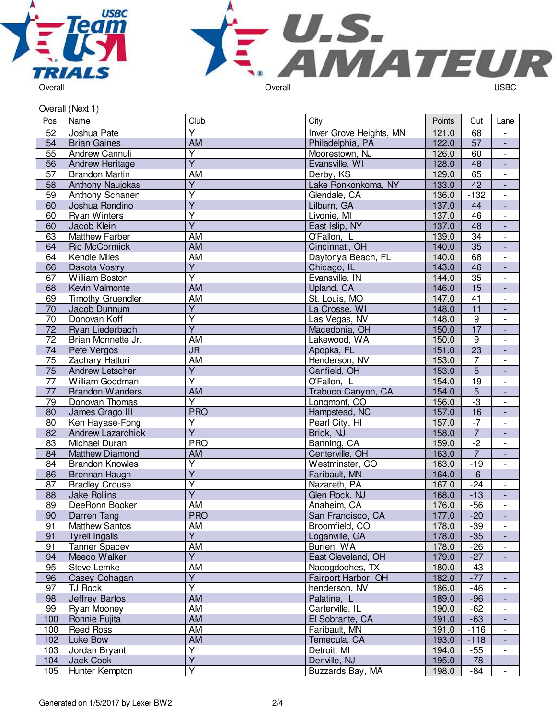



| Overall (Next 1) |  |
|------------------|--|

| Pos.            | Name                     | Club                              | City                    | Points | Cut             | Lane                     |
|-----------------|--------------------------|-----------------------------------|-------------------------|--------|-----------------|--------------------------|
| 52              | Joshua Pate              | $\overline{Y}$                    | Inver Grove Heights, MN | 121.0  | 68              | $\overline{\phantom{a}}$ |
| 54              | <b>Brian Gaines</b>      | <b>AM</b>                         | Philadelphia, PA        | 122.0  | $\overline{57}$ | $\overline{\phantom{a}}$ |
| 55              | Andrew Cannuli           | $\overline{Y}$                    | Moorestown, NJ          | 126.0  | 60              | $\overline{\phantom{a}}$ |
| 56              | Andrew Heritage          | $\overline{Y}$                    | Evansville, WI          | 128.0  | $\overline{48}$ | $\Box$                   |
| 57              | <b>Brandon Martin</b>    | AM                                | Derby, KS               | 129.0  | 65              | $\mathbb{L}$             |
| 58              | Anthony Naujokas         | $\overline{Y}$                    | Lake Ronkonkoma, NY     | 133.0  | 42              | $\blacksquare$           |
| 59              | Anthony Schanen          | Υ                                 | Glendale, CA            | 136.0  | $-132$          | $\overline{\phantom{a}}$ |
| 60              | Joshua Rondino           | $\overline{\mathsf{Y}}$           | Lilburn, GA             | 137.0  | 44              | $\overline{\phantom{a}}$ |
| 60              | <b>Ryan Winters</b>      | $\overline{\mathsf{Y}}$           | Livonie, MI             | 137.0  | 46              | $\overline{\phantom{a}}$ |
| 60              | Jacob Klein              | $\overline{\mathsf{Y}}$           | East Islip, NY          | 137.0  | 48              | $\overline{\phantom{a}}$ |
| 63              | <b>Matthew Farber</b>    | <b>AM</b>                         | O'Fallon, IL            | 139.0  | $\overline{34}$ | $\overline{\phantom{a}}$ |
| 64              | <b>Ric McCormick</b>     | <b>AM</b>                         | Cincinnati, OH          | 140.0  | $\overline{35}$ | $\overline{\phantom{a}}$ |
| 64              | Kendle Miles             | $\overline{AM}$                   | Daytonya Beach, FL      | 140.0  | 68              | $\overline{\phantom{a}}$ |
| 66              | Dakota Vostry            | $\overline{Y}$                    | Chicago, IL             | 143.0  | 46              | $\Box$                   |
| 67              | William Boston           | $\overline{\mathsf{Y}}$           | Evansville, IN          | 144.0  | 35              | $\blacksquare$           |
| 68              | Kevin Valmonte           | <b>AM</b>                         | Upland, CA              | 146.0  | 15              | $\overline{\phantom{a}}$ |
| 69              | <b>Timothy Gruendler</b> | AM                                | St. Louis, MO           | 147.0  | 41              | $\overline{\phantom{a}}$ |
| 70              | Jacob Dunnum             | $\overline{Y}$                    | La Crosse, WI           | 148.0  | 11              | $\overline{\phantom{a}}$ |
| 70              | Donovan Koff             | $\overline{\mathsf{Y}}$           | Las Vegas, NV           | 148.0  | $\overline{9}$  | $\overline{\phantom{a}}$ |
| $\overline{72}$ | Ryan Liederbach          | $\overline{Y}$                    | Macedonia, OH           | 150.0  | $\overline{17}$ | $\overline{\phantom{a}}$ |
| $\overline{72}$ |                          | AM                                |                         |        | $\overline{9}$  |                          |
|                 | Brian Monnette Jr.       |                                   | Lakewood, WA            | 150.0  |                 | $\overline{\phantom{a}}$ |
| 74              | Pete Vergos              | $\overline{\mathsf{J}\mathsf{R}}$ | Apopka, FL              | 151.0  | $\overline{23}$ | $\overline{\phantom{a}}$ |
| $\overline{75}$ | Zachary Hattori          | <b>AM</b>                         | Henderson, NV           | 153.0  | $\overline{7}$  | $\blacksquare$           |
| 75              | Andrew Letscher          | $\overline{Y}$                    | Canfield, OH            | 153.0  | $\overline{5}$  | $\blacksquare$           |
| $\overline{77}$ | William Goodman          | $\overline{\mathsf{Y}}$           | O'Fallon, IL            | 154.0  | $\overline{19}$ | $\overline{\phantom{a}}$ |
| 77              | <b>Brandon Wanders</b>   | AM                                | Trabuco Canyon, CA      | 154.0  | $\frac{5}{-3}$  | $\blacksquare$           |
| 79              | Donovan Thomas           | $\overline{\mathsf{Y}}$           | Longmont, CO            | 156.0  |                 | $\overline{\phantom{a}}$ |
| 80              | James Grago III          | <b>PRO</b>                        | Hampstead, NC           | 157.0  | $\overline{16}$ | $\overline{\phantom{a}}$ |
| 80              | Ken Hayase-Fong          | Y                                 | Pearl City, HI          | 157.0  | $-7$            | $\overline{\phantom{a}}$ |
| 82              | <b>Andrew Lazarchick</b> | $\overline{Y}$                    | Brick, NJ               | 158.0  | $\overline{7}$  | $\overline{\phantom{a}}$ |
| 83              | Michael Duran            | <b>PRO</b>                        | Banning, CA             | 159.0  | $\overline{-2}$ | $\overline{\phantom{a}}$ |
| 84              | <b>Matthew Diamond</b>   | AM                                | Centerville, OH         | 163.0  | $\overline{7}$  | $\overline{\phantom{a}}$ |
| 84              | <b>Brandon Knowles</b>   | $\overline{\mathsf{Y}}$           | Westminster, CO         | 163.0  | $-19$           | $\blacksquare$           |
| 86              | Brennan Haugh            | $\overline{Y}$                    | Faribault, MN           | 164.0  | $-6$            | $\Box$                   |
| 87              | <b>Bradley Crouse</b>    | $\overline{\mathsf{Y}}$           | Nazareth, PA            | 167.0  | $-24$           | $\overline{\phantom{a}}$ |
| 88              | <b>Jake Rollins</b>      | $\overline{\mathsf{Y}}$           | Glen Rock, NJ           | 168.0  | $-13$           | ÷,                       |
| 89              | DeeRonn Booker           | AM                                | Anaheim, CA             | 176.0  | $-56$           | $\overline{\phantom{a}}$ |
| 90              | Darren Tang              | <b>PRO</b>                        | San Francisco, CA       | 177.0  | $-20$           |                          |
| 91              | <b>Matthew Santos</b>    | AM                                | Broomfield, CO          | 178.0  | $-39$           | $\overline{\phantom{a}}$ |
| 91              | <b>Tyrell Ingalls</b>    | $\overline{Y}$                    | Loganville, GA          | 178.0  | $-35$           |                          |
| 91              | <b>Tanner Spacey</b>     | AM                                | Burien, WA              | 178.0  | $-26$           | $\overline{\phantom{a}}$ |
| 94              | Meeco Walker             | $\overline{Y}$                    | East Cleveland, OH      | 179.0  | $-27$           |                          |
| 95              | Steve Lemke              | AM                                | Nacogdoches, TX         | 180.0  | $-43$           | $\overline{\phantom{a}}$ |
| 96              | Casey Cohagan            | $\overline{Y}$                    | Fairport Harbor, OH     | 182.0  | $-77$           | $\overline{\phantom{a}}$ |
| 97              | TJ Rock                  | $\overline{Y}$                    | henderson, NV           | 186.0  | $-46$           | $\overline{\phantom{a}}$ |
| 98              | <b>Jeffrey Bartos</b>    | <b>AM</b>                         | Palatine, IL            | 189.0  | $-96$           | $\overline{\phantom{a}}$ |
| 99              | Ryan Mooney              | AM                                | Carterville, IL         | 190.0  | $-62$           | $\overline{\phantom{a}}$ |
| 100             | Ronnie Fujita            | AM                                | El Sobrante, CA         | 191.0  | $-63$           | $\overline{\phantom{a}}$ |
| 100             | <b>Reed Ross</b>         | AM                                | Faribault, MN           | 191.0  | $-116$          | $\overline{\phantom{a}}$ |
| 102             | Luke Bow                 | AM                                | Temecula, CA            | 193.0  | $-118$          | $\overline{\phantom{a}}$ |
| 103             | Jordan Bryant            | Y                                 | Detroit, MI             | 194.0  | $-55$           | $\overline{\phantom{a}}$ |
|                 | <b>Jack Cook</b>         | $\overline{\mathsf{Y}}$           | Denville, NJ            | 195.0  | $-78$           |                          |
| 104             |                          | $\overline{\mathsf{Y}}$           |                         |        |                 |                          |
| 105             | Hunter Kempton           |                                   | Buzzards Bay, MA        | 198.0  | $-84$           |                          |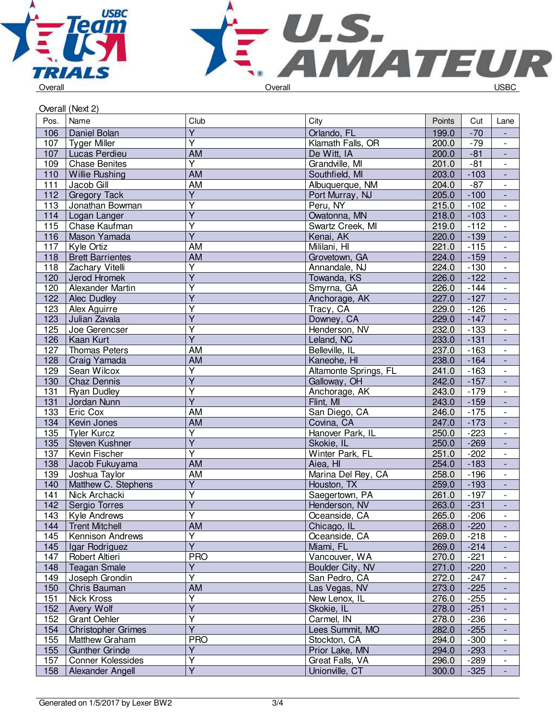



|      | Overall (Next 2)          |                         |                       |        |        |                          |
|------|---------------------------|-------------------------|-----------------------|--------|--------|--------------------------|
| Pos. | Name                      | Club                    | City                  | Points | Cut    | Lane                     |
| 106  | Daniel Bolan              | $\overline{Y}$          | Orlando, FL           | 199.0  | $-70$  |                          |
| 107  | <b>Tyger Miller</b>       | $\overline{\mathsf{Y}}$ | Klamath Falls, OR     | 200.0  | $-79$  | $\blacksquare$           |
| 107  | Lucas Perdieu             | AM                      | De Witt, IA           | 200.0  | $-81$  | $\blacksquare$           |
| 109  | <b>Chase Benites</b>      | $\overline{\mathsf{Y}}$ | Grandville, MI        | 201.0  | $-81$  | $\overline{\phantom{a}}$ |
| 110  | <b>Willie Rushing</b>     | <b>AM</b>               | Southfield, MI        | 203.0  | $-103$ | $\overline{\phantom{a}}$ |
| 111  | Jacob Gill                | AM                      | Albuquerque, NM       | 204.0  | $-87$  | $\overline{\phantom{a}}$ |
| 112  | <b>Gregory Tack</b>       | $\overline{Y}$          | Port Murray, NJ       | 205.0  | $-100$ |                          |
| 113  | Jonathan Bowman           | $\overline{Y}$          | Peru, NY              | 215.0  | $-102$ | $\overline{\phantom{a}}$ |
| 114  | Logan Langer              | $\overline{\mathsf{Y}}$ | Owatonna, MN          | 218.0  | $-103$ | $\blacksquare$           |
| 115  | Chase Kaufman             | Υ                       | Swartz Creek, MI      | 219.0  | $-112$ | $\blacksquare$           |
| 116  | Mason Yamada              | $\overline{\mathsf{Y}}$ | Kenai, AK             | 220.0  | $-139$ |                          |
| 117  | <b>Kyle Ortiz</b>         | <b>AM</b>               | Mililani, HI          | 221.0  | $-115$ | $\mathbb{L}$             |
| 118  | <b>Brett Barrientes</b>   | <b>AM</b>               | Grovetown, GA         | 224.0  | $-159$ | $\Box$                   |
| 118  | Zachary Vitelli           | Υ                       | Annandale, NJ         | 224.0  | $-130$ | $\overline{\phantom{a}}$ |
| 120  | Jerod Hromek              | Y                       | Towanda, KS           | 226.0  | $-122$ | $\overline{\phantom{a}}$ |
| 120  | Alexander Martin          | $\overline{\mathsf{Y}}$ | Smyrna, GA            | 226.0  | $-144$ |                          |
| 122  | Alec Dudley               | $\overline{\mathsf{Y}}$ | Anchorage, AK         | 227.0  | $-127$ |                          |
| 123  | Alex Aguirre              | $\overline{\mathsf{Y}}$ | Tracy, CA             | 229.0  | $-126$ | $\overline{\phantom{a}}$ |
| 123  | Julian Zavala             | $\overline{Y}$          | Downey, CA            | 229.0  | $-147$ | $\overline{\phantom{a}}$ |
| 125  | Joe Gerencser             | Ÿ                       | Henderson, NV         | 232.0  | $-133$ |                          |
| 126  | Kaan Kurt                 | $\overline{\mathsf{Y}}$ | Leland, NC            | 233.0  | $-131$ |                          |
| 127  | Thomas Peters             | AM                      | Belleville, IL        | 237.0  | $-163$ | $\mathbb{L}$             |
| 128  | Craig Yamada              | AM                      | Kaneohe, HI           | 238.0  | $-164$ | $\Box$                   |
| 129  | Sean Wilcox               | Y                       | Altamonte Springs, FL | 241.0  | $-163$ | $\overline{\phantom{a}}$ |
| 130  | <b>Chaz Dennis</b>        | $\overline{\mathsf{Y}}$ | Galloway, OH          | 242.0  | $-157$ | $\blacksquare$           |
| 131  | <b>Ryan Dudley</b>        | Ÿ                       | Anchorage, AK         | 243.0  | $-179$ |                          |
| 131  | Jordan Nunn               | $\overline{Y}$          | Flint, MI             | 243.0  | $-159$ | $\blacksquare$           |
| 133  | Eric Cox                  | <b>AM</b>               | San Diego, CA         | 246.0  | $-175$ | $\overline{\phantom{a}}$ |
| 134  | Kevin Jones               | <b>AM</b>               | Covina, CA            | 247.0  | $-173$ | $\blacksquare$           |
| 135  | <b>Tyler Kurcz</b>        | Ÿ                       | Hanover Park, IL      | 250.0  | $-223$ | $\blacksquare$           |
| 135  | Steven Kushner            | $\overline{Y}$          | Skokie, IL            | 250.0  | $-269$ | $\Box$                   |
| 137  | Kevin Fischer             | $\overline{Y}$          | Winter Park, FL       | 251.0  | $-202$ | $\overline{\phantom{a}}$ |
| 138  | Jacob Fukuyama            | <b>AM</b>               | Aiea, HI              | 254.0  | $-183$ | $\blacksquare$           |
| 139  | Joshua Taylor             | AM                      | Marina Del Rey, CA    | 258.0  | $-196$ | $\overline{\phantom{a}}$ |
| 140  | Matthew C. Stephens       | $\overline{Y}$          | Houston, TX           | 259.0  | $-193$ | $\overline{\phantom{a}}$ |
| 141  | Nick Archacki             | $\overline{\mathsf{Y}}$ | Saegertown, PA        | 261.0  | $-197$ |                          |
| 142  | Sergio Torres             | $\overline{Y}$          | Henderson, NV         | 263.0  | $-231$ |                          |
| 143  | Kyle Andrews              | Υ                       | Oceanside, CA         | 265.0  | $-206$ | $\overline{\phantom{a}}$ |
| 144  | <b>Trent Mitchell</b>     | AM                      | Chicago, IL           | 268.0  | $-220$ |                          |
| 145  | Kennison Andrews          | $\overline{\mathsf{Y}}$ | Oceanside, CA         | 269.0  | $-218$ |                          |
| 145  | Igar Rodriguez            | $\overline{\mathsf{Y}}$ | Miami, FL             | 269.0  | $-214$ |                          |
| 147  | <b>Robert Altieri</b>     | <b>PRO</b>              | Vancouver, WA         | 270.0  | $-221$ | $\overline{\phantom{a}}$ |
| 148  | <b>Teagan Smale</b>       | Y                       | Boulder City, NV      | 271.0  | $-220$ | $\blacksquare$           |
| 149  | Joseph Grondin            | Y                       | San Pedro, CA         | 272.0  | $-247$ | $\overline{\phantom{a}}$ |
| 150  | Chris Bauman              | AM                      | Las Vegas, NV         | 273.0  | $-225$ | $\overline{\phantom{a}}$ |
| 151  | Nick Kross                | Υ                       | New Lenox, IL         | 276.0  | $-255$ | $\overline{\phantom{a}}$ |
| 152  | Avery Wolf                | $\overline{Y}$          | Skokie, IL            | 278.0  | $-251$ |                          |
| 152  | <b>Grant Oehler</b>       | $\overline{\mathsf{Y}}$ | Carmel, IN            | 278.0  | $-236$ | $\overline{\phantom{a}}$ |
| 154  | <b>Christopher Grimes</b> | Ÿ                       | Lees Summit, MO       | 282.0  | $-255$ | $\overline{\phantom{a}}$ |
| 155  | Matthew Graham            | <b>PRO</b>              | Stockton, CA          | 294.0  | $-300$ |                          |
| 155  | <b>Gunther Grinde</b>     | Y                       | Prior Lake, MN        | 294.0  | $-293$ | $\blacksquare$           |
| 157  | <b>Conner Kolessides</b>  | Ÿ                       | Great Falls, VA       | 296.0  | $-289$ | $\overline{\phantom{a}}$ |
| 158  | Alexander Angell          | $\overline{Y}$          | Unionville, CT        | 300.0  | $-325$ | $\blacksquare$           |